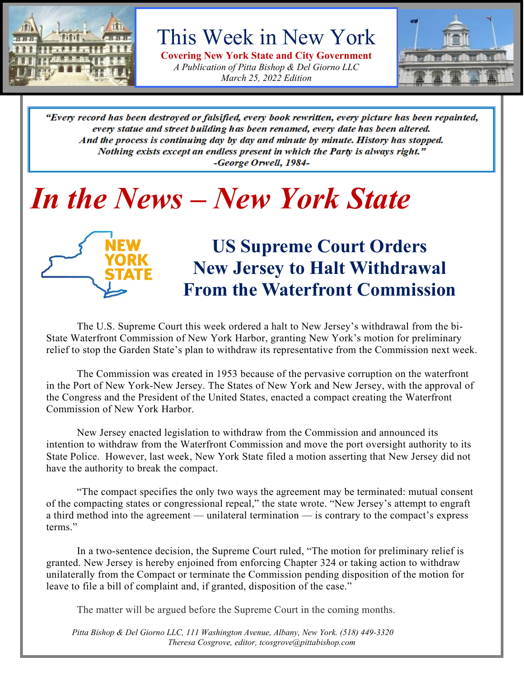

This Week in New York

**Covering New York State and City Government** *A Publication of Pitta Bishop & Del Giorno LLC March 25, 2022 Edition*



"Every record has been destroyed or falsified, every book rewritten, every picture has been repainted, every statue and street building has been renamed, every date has been altered. And the process is continuing day by day and minute by minute. History has stopped. Nothing exists except an endless present in which the Party is always right." -George Orwell, 1984-

# *In the News – New York State*



### **US Supreme Court Orders New Jersey to Halt Withdrawal From the Waterfront Commission**

The U.S. Supreme Court this week ordered a halt to New Jersey's withdrawal from the bi-State Waterfront Commission of New York Harbor, granting New York's motion for preliminary relief to stop the Garden State's plan to withdraw its representative from the Commission next week.

The Commission was created in 1953 because of the pervasive corruption on the waterfront in the Port of New York-New Jersey. The States of New York and New Jersey, with the approval of the Congress and the President of the United States, enacted a compact creating the Waterfront Commission of New York Harbor.

New Jersey enacted legislation to withdraw from the Commission and announced its intention to withdraw from the Waterfront Commission and move the port oversight authority to its State Police. However, last week, New York State filed a motion asserting that New Jersey did not have the authority to break the compact.

"The compact specifies the only two ways the agreement may be terminated: mutual consent of the compacting states or congressional repeal," the state wrote. "New Jersey's attempt to engraft a third method into the agreement — unilateral termination — is contrary to the compact's express terms."

In a two-sentence decision, the Supreme Court ruled, "The motion for preliminary relief is granted. New Jersey is hereby enjoined from enforcing Chapter 324 or taking action to withdraw unilaterally from the Compact or terminate the Commission pending disposition of the motion for leave to file a bill of complaint and, if granted, disposition of the case."

The matter will be argued before the Supreme Court in the coming months.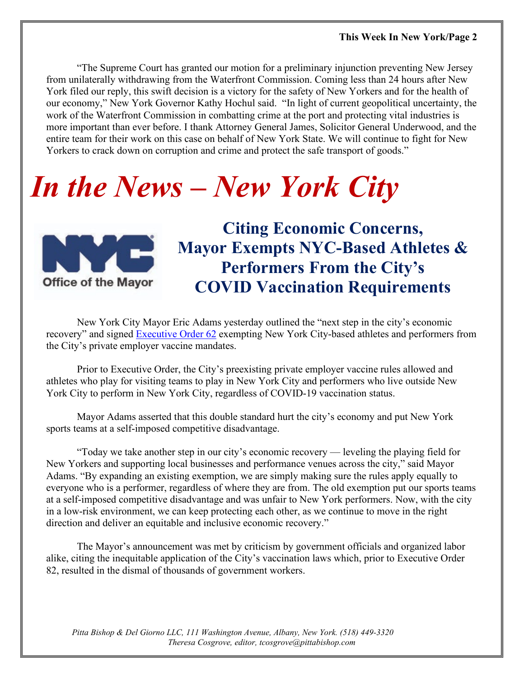"The Supreme Court has granted our motion for a preliminary injunction preventing New Jersey from unilaterally withdrawing from the Waterfront Commission. Coming less than 24 hours after New York filed our reply, this swift decision is a victory for the safety of New Yorkers and for the health of our economy," New York Governor Kathy Hochul said. "In light of current geopolitical uncertainty, the work of the Waterfront Commission in combatting crime at the port and protecting vital industries is more important than ever before. I thank Attorney General James, Solicitor General Underwood, and the entire team for their work on this case on behalf of New York State. We will continue to fight for New Yorkers to crack down on corruption and crime and protect the safe transport of goods."

# *In the News – New York City*



**Citing Economic Concerns, Mayor Exempts NYC-Based Athletes & Performers From the City's COVID Vaccination Requirements** 

New York City Mayor Eric Adams yesterday outlined the "next step in the city's economic recovery" and signed [Executive Order 62](https://www1.nyc.gov/office-of-the-mayor/news/062-003/emergency-executive-order-62) exempting New York City-based athletes and performers from the City's private employer vaccine mandates.

Prior to Executive Order, the City's preexisting private employer vaccine rules allowed and athletes who play for visiting teams to play in New York City and performers who live outside New York City to perform in New York City, regardless of COVID-19 vaccination status.

Mayor Adams asserted that this double standard hurt the city's economy and put New York sports teams at a self-imposed competitive disadvantage.

"Today we take another step in our city's economic recovery — leveling the playing field for New Yorkers and supporting local businesses and performance venues across the city," said Mayor Adams. "By expanding an existing exemption, we are simply making sure the rules apply equally to everyone who is a performer, regardless of where they are from. The old exemption put our sports teams at a self-imposed competitive disadvantage and was unfair to New York performers. Now, with the city in a low-risk environment, we can keep protecting each other, as we continue to move in the right direction and deliver an equitable and inclusive economic recovery."

The Mayor's announcement was met by criticism by government officials and organized labor alike, citing the inequitable application of the City's vaccination laws which, prior to Executive Order 82, resulted in the dismal of thousands of government workers.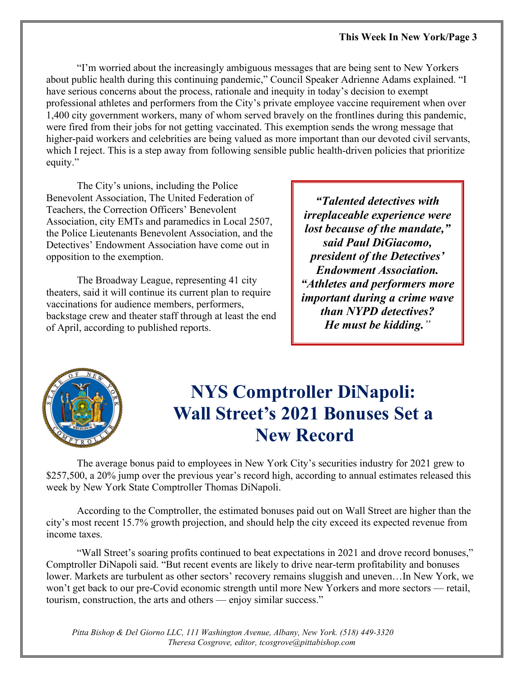"I'm worried about the increasingly ambiguous messages that are being sent to New Yorkers about public health during this continuing pandemic," Council Speaker Adrienne Adams explained. "I have serious concerns about the process, rationale and inequity in today's decision to exempt professional athletes and performers from the City's private employee vaccine requirement when over 1,400 city government workers, many of whom served bravely on the frontlines during this pandemic, were fired from their jobs for not getting vaccinated. This exemption sends the wrong message that higher-paid workers and celebrities are being valued as more important than our devoted civil servants, which I reject. This is a step away from following sensible public health-driven policies that prioritize equity."

The City's unions, including the Police Benevolent Association, The United Federation of Teachers, the Correction Officers' Benevolent Association, city EMTs and paramedics in Local 2507, the Police Lieutenants Benevolent Association, and the Detectives' Endowment Association have come out in opposition to the exemption.

The Broadway League, representing 41 city theaters, said it will continue its current plan to require vaccinations for audience members, performers, backstage crew and theater staff through at least the end of April, according to published reports.

*"Talented detectives with irreplaceable experience were lost because of the mandate," said Paul DiGiacomo, president of the Detectives' Endowment Association. "Athletes and performers more important during a crime wave than NYPD detectives? He must be kidding."*



### **NYS Comptroller DiNapoli: Wall Street's 2021 Bonuses Set a New Record**

The average bonus paid to employees in New York City's securities industry for 2021 grew to \$257,500, a 20% jump over the previous year's record high, according to annual estimates released this week by New York State Comptroller Thomas DiNapoli.

According to the Comptroller, the estimated bonuses paid out on Wall Street are higher than the city's most recent 15.7% growth projection, and should help the city exceed its expected revenue from income taxes.

"Wall Street's soaring profits continued to beat expectations in 2021 and drove record bonuses," Comptroller DiNapoli said. "But recent events are likely to drive near-term profitability and bonuses lower. Markets are turbulent as other sectors' recovery remains sluggish and uneven…In New York, we won't get back to our pre-Covid economic strength until more New Yorkers and more sectors — retail, tourism, construction, the arts and others — enjoy similar success."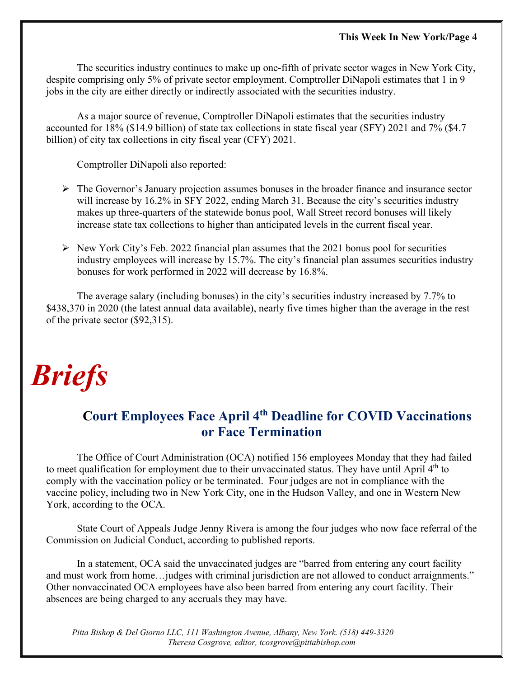The securities industry continues to make up one-fifth of private sector wages in New York City, despite comprising only 5% of private sector employment. Comptroller DiNapoli estimates that 1 in 9 jobs in the city are either directly or indirectly associated with the securities industry.

As a major source of revenue, Comptroller DiNapoli estimates that the securities industry accounted for 18% (\$14.9 billion) of state tax collections in state fiscal year (SFY) 2021 and 7% (\$4.7 billion) of city tax collections in city fiscal year (CFY) 2021.

Comptroller DiNapoli also reported:

- $\triangleright$  The Governor's January projection assumes bonuses in the broader finance and insurance sector will increase by 16.2% in SFY 2022, ending March 31. Because the city's securities industry makes up three-quarters of the statewide bonus pool, Wall Street record bonuses will likely increase state tax collections to higher than anticipated levels in the current fiscal year.
- $\triangleright$  New York City's Feb. 2022 financial plan assumes that the 2021 bonus pool for securities industry employees will increase by 15.7%. The city's financial plan assumes securities industry bonuses for work performed in 2022 will decrease by 16.8%.

The average salary (including bonuses) in the city's securities industry increased by 7.7% to \$438,370 in 2020 (the latest annual data available), nearly five times higher than the average in the rest of the private sector (\$92,315).

# *Briefs*

#### **Court Employees Face April 4th Deadline for COVID Vaccinations or Face Termination**

The Office of Court Administration (OCA) notified 156 employees Monday that they had failed to meet qualification for employment due to their unvaccinated status. They have until April 4<sup>th</sup> to comply with the vaccination policy or be terminated. Four judges are not in compliance with the vaccine policy, including two in New York City, one in the Hudson Valley, and one in Western New York, according to the OCA.

State Court of Appeals Judge Jenny Rivera is among the four judges who now face referral of the Commission on Judicial Conduct, according to published reports.

In a statement, OCA said the unvaccinated judges are "barred from entering any court facility and must work from home…judges with criminal jurisdiction are not allowed to conduct arraignments." Other nonvaccinated OCA employees have also been barred from entering any court facility. Their absences are being charged to any accruals they may have.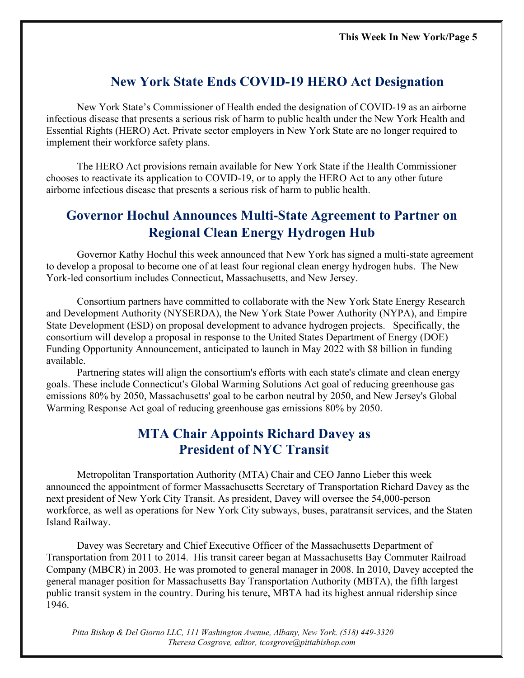#### **New York State Ends COVID-19 HERO Act Designation**

New York State's Commissioner of Health ended the designation of COVID-19 as an airborne infectious disease that presents a serious risk of harm to public health under the New York Health and Essential Rights (HERO) Act. Private sector employers in New York State are no longer required to implement their workforce safety plans.

The HERO Act provisions remain available for New York State if the Health Commissioner chooses to reactivate its application to COVID-19, or to apply the HERO Act to any other future airborne infectious disease that presents a serious risk of harm to public health.

#### **Governor Hochul Announces Multi-State Agreement to Partner on Regional Clean Energy Hydrogen Hub**

Governor Kathy Hochul this week announced that New York has signed a multi-state agreement to develop a proposal to become one of at least four regional clean energy hydrogen hubs. The New York-led consortium includes Connecticut, Massachusetts, and New Jersey.

Consortium partners have committed to collaborate with the New York State Energy Research and Development Authority (NYSERDA), the New York State Power Authority (NYPA), and Empire State Development (ESD) on proposal development to advance hydrogen projects. Specifically, the consortium will develop a proposal in response to the United States Department of Energy (DOE) Funding Opportunity Announcement, anticipated to launch in May 2022 with \$8 billion in funding available.

Partnering states will align the consortium's efforts with each state's climate and clean energy goals. These include Connecticut's Global Warming Solutions Act goal of reducing greenhouse gas emissions 80% by 2050, Massachusetts' goal to be carbon neutral by 2050, and New Jersey's Global Warming Response Act goal of reducing greenhouse gas emissions 80% by 2050.

#### **MTA Chair Appoints Richard Davey as President of NYC Transit**

Metropolitan Transportation Authority (MTA) Chair and CEO Janno Lieber this week announced the appointment of former Massachusetts Secretary of Transportation Richard Davey as the next president of New York City Transit. As president, Davey will oversee the 54,000-person workforce, as well as operations for New York City subways, buses, paratransit services, and the Staten Island Railway.

Davey was Secretary and Chief Executive Officer of the Massachusetts Department of Transportation from 2011 to 2014. His transit career began at Massachusetts Bay Commuter Railroad Company (MBCR) in 2003. He was promoted to general manager in 2008. In 2010, Davey accepted the general manager position for Massachusetts Bay Transportation Authority (MBTA), the fifth largest public transit system in the country. During his tenure, MBTA had its highest annual ridership since 1946.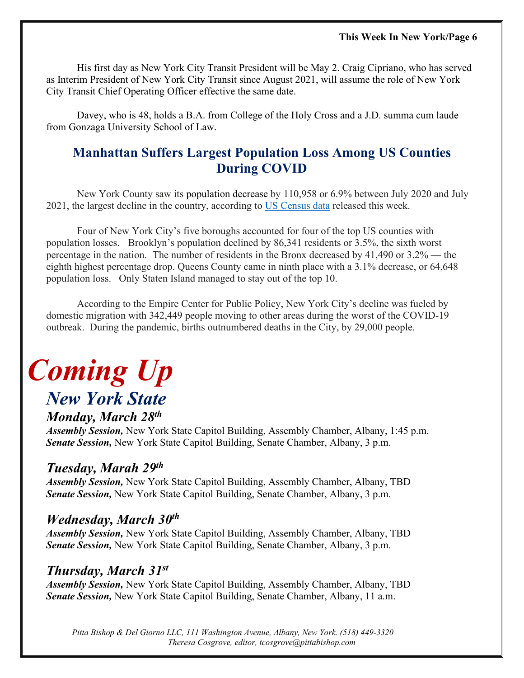His first day as New York City Transit President will be May 2. Craig Cipriano, who has served as Interim President of New York City Transit since August 2021, will assume the role of New York City Transit Chief Operating Officer effective the same date.

Davey, who is 48, holds a B.A. from College of the Holy Cross and a J.D. summa cum laude from Gonzaga University School of Law.

#### **Manhattan Suffers Largest Population Loss Among US Counties During COVID**

New York County saw its population decrease by 110,958 or 6.9% between July 2020 and July 2021, the largest decline in the country, according to US [Census](https://www.census.gov/newsroom/press-releases/2022/population-estimates-counties-decrease.html?utm_campaign=20220324msprts1ccpuprs&utm_medium=email&utm_source=govdelivery) data released this week.

Four of New York City's five boroughs accounted for four of the top US counties with population losses. Brooklyn's population declined by 86,341 residents or 3.5%, the sixth worst percentage in the nation. The number of residents in the Bronx decreased by 41,490 or 3.2% — the eighth highest percentage drop. Queens County came in ninth place with a 3.1% decrease, or 64,648 population loss. Only Staten Island managed to stay out of the top 10.

According to the Empire Center for Public Policy, New York City's decline was fueled by domestic migration with 342,449 people moving to other areas during the worst of the COVID-19 outbreak. During the pandemic, births outnumbered deaths in the City, by 29,000 people.

## *Coming Up New York State*

#### *Monday, March 28th*

*Assembly Session,* New York State Capitol Building, Assembly Chamber, Albany, 1:45 p.m. *Senate Session,* New York State Capitol Building, Senate Chamber, Albany, 3 p.m.

#### *Tuesday, Marah 29th*

*Assembly Session,* New York State Capitol Building, Assembly Chamber, Albany, TBD *Senate Session,* New York State Capitol Building, Senate Chamber, Albany, 3 p.m.

#### *Wednesday, March 30th*

*Assembly Session,* New York State Capitol Building, Assembly Chamber, Albany, TBD *Senate Session,* New York State Capitol Building, Senate Chamber, Albany, 3 p.m.

#### *Thursday, March 31st*

*Assembly Session,* New York State Capitol Building, Assembly Chamber, Albany, TBD *Senate Session,* New York State Capitol Building, Senate Chamber, Albany, 11 a.m.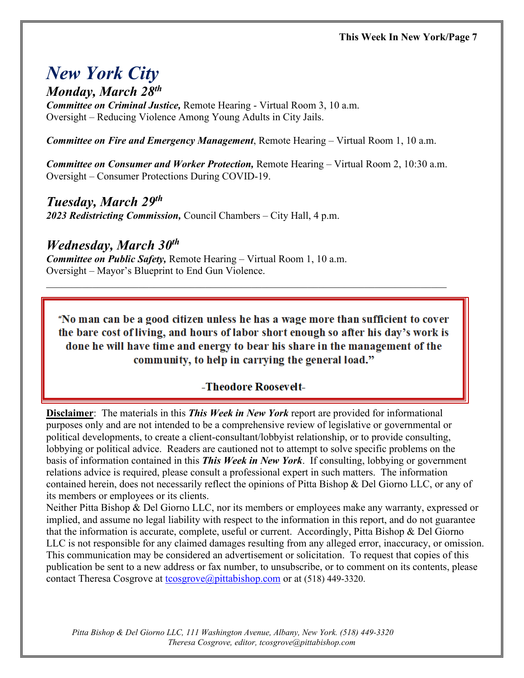### *New York City*

*Monday, March 28<sup>th</sup>*<br>*Committee on Criminal Justice*, Remote Hearing - Virtual Room 3, 10 a.m. Oversight – Reducing Violence Among Young Adults in City Jails.

*Committee on Fire and Emergency Management*, Remote Hearing – Virtual Room 1, 10 a.m.

*Committee on Consumer and Worker Protection,* Remote Hearing – Virtual Room 2, 10:30 a.m. Oversight – Consumer Protections During COVID-19.

*Tuesday, March 29th 2023 Redistricting Commission,* Council Chambers – City Hall, 4 p.m.

*Wednesday, March 30th Committee on Public Safety,* Remote Hearing – Virtual Room 1, 10 a.m. Oversight – Mayor's Blueprint to End Gun Violence.

"No man can be a good citizen unless he has a wage more than sufficient to cover the bare cost of living, and hours of labor short enough so after his day's work is done he will have time and energy to bear his share in the management of the community, to help in carrying the general load."

\_\_\_\_\_\_\_\_\_\_\_\_\_\_\_\_\_\_\_\_\_\_\_\_\_\_\_\_\_\_\_\_\_\_\_\_\_\_\_\_\_\_\_\_\_\_\_\_\_\_\_\_\_\_\_\_\_\_\_\_\_\_\_\_\_\_\_\_\_\_\_\_\_\_\_\_\_\_

#### -Theodore Roosevelt-

**Disclaimer**: The materials in this *This Week in New York* report are provided for informational purposes only and are not intended to be a comprehensive review of legislative or governmental or political developments, to create a client-consultant/lobbyist relationship, or to provide consulting, lobbying or political advice. Readers are cautioned not to attempt to solve specific problems on the basis of information contained in this *This Week in New York*. If consulting, lobbying or government relations advice is required, please consult a professional expert in such matters. The information contained herein, does not necessarily reflect the opinions of Pitta Bishop & Del Giorno LLC, or any of its members or employees or its clients.

Neither Pitta Bishop & Del Giorno LLC, nor its members or employees make any warranty, expressed or implied, and assume no legal liability with respect to the information in this report, and do not guarantee that the information is accurate, complete, useful or current. Accordingly, Pitta Bishop & Del Giorno LLC is not responsible for any claimed damages resulting from any alleged error, inaccuracy, or omission. This communication may be considered an advertisement or solicitation. To request that copies of this publication be sent to a new address or fax number, to unsubscribe, or to comment on its contents, please contact Theresa Cosgrove at [tcosgrove@pittabishop.com](mailto:tcosgrove@pittabishop.com) or at (518) 449-3320.